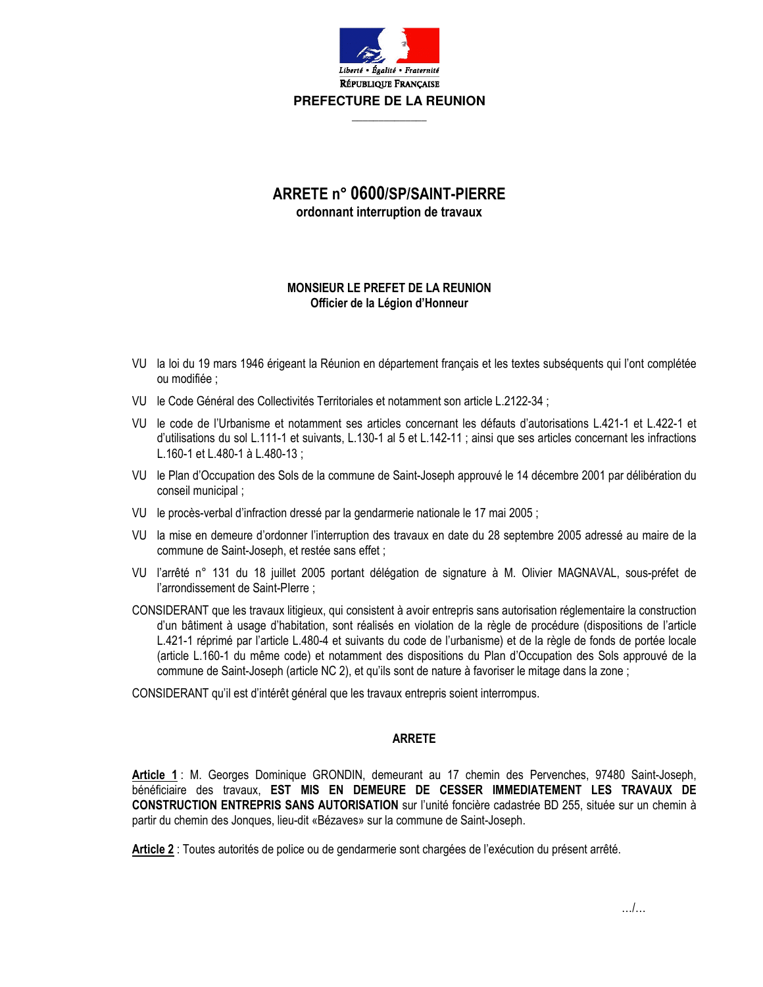

## ARRETE n° 0600/SP/SAINT-PIFRRF ordonnant interruption de travaux

## MONSIEUR LE PREFET DE LA REUNION Officier de la Légion d'Honneur

- VU la loi du 19 mars 1946 érigeant la Réunion en département français et les textes subséquents qui l'ont complétée ou modifiée :
- VU le Code Général des Collectivités Territoriales et notamment son article L.2122-34;
- VU le code de l'Urbanisme et notamment ses articles concernant les défauts d'autorisations L.421-1 et L.422-1 et d'utilisations du sol L.111-1 et suivants, L.130-1 al 5 et L.142-11; ainsi que ses articles concernant les infractions L.160-1 et L.480-1 à L.480-13 ;
- VU le Plan d'Occupation des Sols de la commune de Saint-Joseph approuvé le 14 décembre 2001 par délibération du conseil municipal:
- VU le procès-verbal d'infraction dressé par la gendarmerie nationale le 17 mai 2005;
- VU la mise en demeure d'ordonner l'interruption des travaux en date du 28 septembre 2005 adressé au maire de la commune de Saint-Joseph, et restée sans effet ;
- VU l'arrêté n° 131 du 18 juillet 2005 portant délégation de signature à M. Olivier MAGNAVAL, sous-préfet de l'arrondissement de Saint-Plerre ;
- CONSIDERANT que les travaux litigieux, qui consistent à avoir entrepris sans autorisation réglementaire la construction d'un bâtiment à usage d'habitation, sont réalisés en violation de la règle de procédure (dispositions de l'article L.421-1 réprimé par l'article L.480-4 et suivants du code de l'urbanisme) et de la règle de fonds de portée locale (article L.160-1 du même code) et notamment des dispositions du Plan d'Occupation des Sols approuvé de la commune de Saint-Joseph (article NC 2), et qu'ils sont de nature à favoriser le mitage dans la zone ;

CONSIDERANT qu'il est d'intérêt général que les travaux entrepris soient interrompus.

## **ARRETE**

Article 1: M. Georges Dominique GRONDIN, demeurant au 17 chemin des Pervenches, 97480 Saint-Joseph, bénéficiaire des travaux, EST MIS EN DEMEURE DE CESSER IMMEDIATEMENT LES TRAVAUX DE CONSTRUCTION ENTREPRIS SANS AUTORISATION sur l'unité foncière cadastrée BD 255, située sur un chemin à partir du chemin des Jonques, lieu-dit «Bézaves» sur la commune de Saint-Joseph.

Article 2 : Toutes autorités de police ou de gendarmerie sont chargées de l'exécution du présent arrêté.